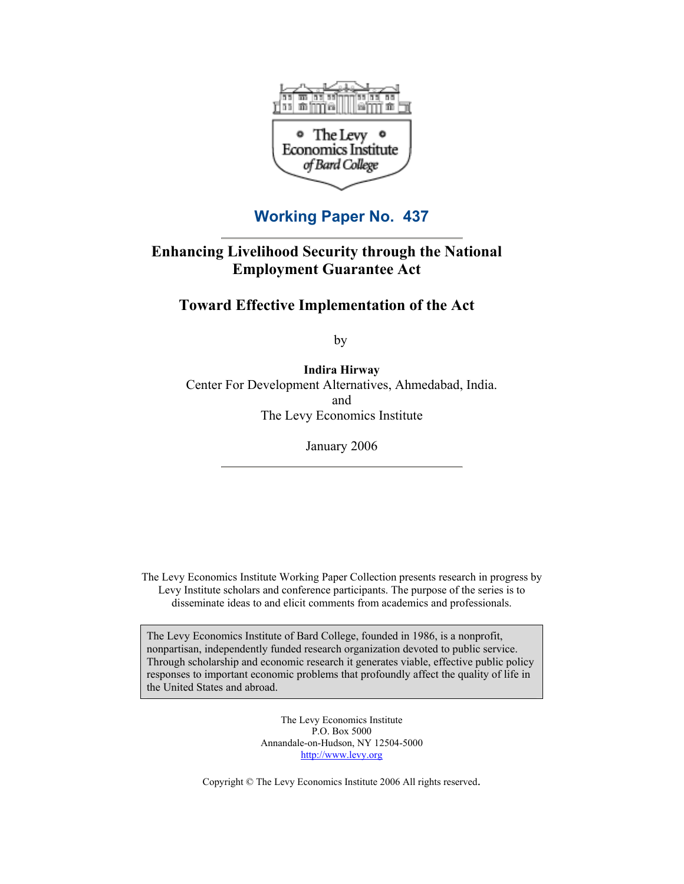

**Working Paper No. 437**

# **Enhancing Livelihood Security through the National Employment Guarantee Act**

# **Toward Effective Implementation of the Act**

by

**Indira Hirway**  Center For Development Alternatives, Ahmedabad, India. and The Levy Economics Institute

January 2006

The Levy Economics Institute Working Paper Collection presents research in progress by Levy Institute scholars and conference participants. The purpose of the series is to disseminate ideas to and elicit comments from academics and professionals.

The Levy Economics Institute of Bard College, founded in 1986, is a nonprofit, nonpartisan, independently funded research organization devoted to public service. Through scholarship and economic research it generates viable, effective public policy responses to important economic problems that profoundly affect the quality of life in the United States and abroad.

> The Levy Economics Institute P.O. Box 5000 Annandale-on-Hudson, NY 12504-5000 <http://www.levy.org>

Copyright © The Levy Economics Institute 2006 All rights reserved.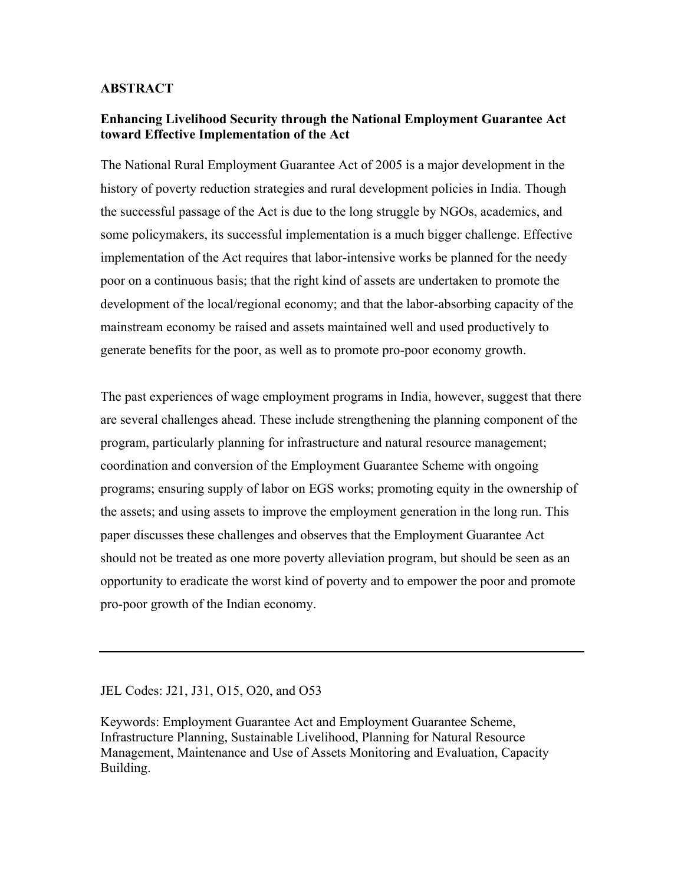## **ABSTRACT**

# **Enhancing Livelihood Security through the National Employment Guarantee Act toward Effective Implementation of the Act**

The National Rural Employment Guarantee Act of 2005 is a major development in the history of poverty reduction strategies and rural development policies in India. Though the successful passage of the Act is due to the long struggle by NGOs, academics, and some policymakers, its successful implementation is a much bigger challenge. Effective implementation of the Act requires that labor-intensive works be planned for the needy poor on a continuous basis; that the right kind of assets are undertaken to promote the development of the local/regional economy; and that the labor-absorbing capacity of the mainstream economy be raised and assets maintained well and used productively to generate benefits for the poor, as well as to promote pro-poor economy growth.

The past experiences of wage employment programs in India, however, suggest that there are several challenges ahead. These include strengthening the planning component of the program, particularly planning for infrastructure and natural resource management; coordination and conversion of the Employment Guarantee Scheme with ongoing programs; ensuring supply of labor on EGS works; promoting equity in the ownership of the assets; and using assets to improve the employment generation in the long run. This paper discusses these challenges and observes that the Employment Guarantee Act should not be treated as one more poverty alleviation program, but should be seen as an opportunity to eradicate the worst kind of poverty and to empower the poor and promote pro-poor growth of the Indian economy.

### JEL Codes: J21, J31, O15, O20, and O53

Keywords: Employment Guarantee Act and Employment Guarantee Scheme, Infrastructure Planning, Sustainable Livelihood, Planning for Natural Resource Management, Maintenance and Use of Assets Monitoring and Evaluation, Capacity Building.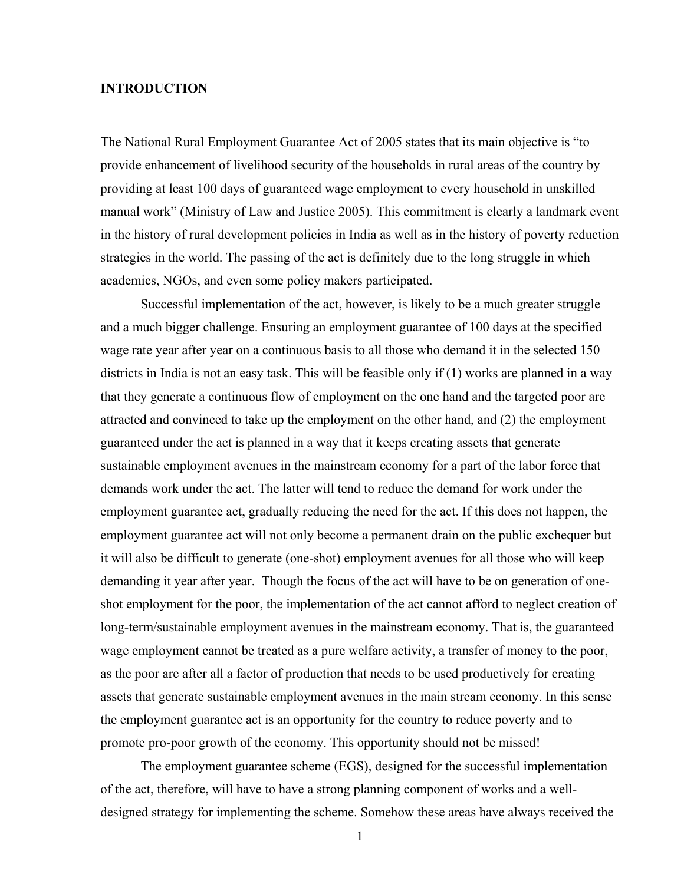## **INTRODUCTION**

The National Rural Employment Guarantee Act of 2005 states that its main objective is "to provide enhancement of livelihood security of the households in rural areas of the country by providing at least 100 days of guaranteed wage employment to every household in unskilled manual work" (Ministry of Law and Justice 2005). This commitment is clearly a landmark event in the history of rural development policies in India as well as in the history of poverty reduction strategies in the world. The passing of the act is definitely due to the long struggle in which academics, NGOs, and even some policy makers participated.

Successful implementation of the act, however, is likely to be a much greater struggle and a much bigger challenge. Ensuring an employment guarantee of 100 days at the specified wage rate year after year on a continuous basis to all those who demand it in the selected 150 districts in India is not an easy task. This will be feasible only if (1) works are planned in a way that they generate a continuous flow of employment on the one hand and the targeted poor are attracted and convinced to take up the employment on the other hand, and (2) the employment guaranteed under the act is planned in a way that it keeps creating assets that generate sustainable employment avenues in the mainstream economy for a part of the labor force that demands work under the act. The latter will tend to reduce the demand for work under the employment guarantee act, gradually reducing the need for the act. If this does not happen, the employment guarantee act will not only become a permanent drain on the public exchequer but it will also be difficult to generate (one-shot) employment avenues for all those who will keep demanding it year after year. Though the focus of the act will have to be on generation of oneshot employment for the poor, the implementation of the act cannot afford to neglect creation of long-term/sustainable employment avenues in the mainstream economy. That is, the guaranteed wage employment cannot be treated as a pure welfare activity, a transfer of money to the poor, as the poor are after all a factor of production that needs to be used productively for creating assets that generate sustainable employment avenues in the main stream economy. In this sense the employment guarantee act is an opportunity for the country to reduce poverty and to promote pro-poor growth of the economy. This opportunity should not be missed!

The employment guarantee scheme (EGS), designed for the successful implementation of the act, therefore, will have to have a strong planning component of works and a welldesigned strategy for implementing the scheme. Somehow these areas have always received the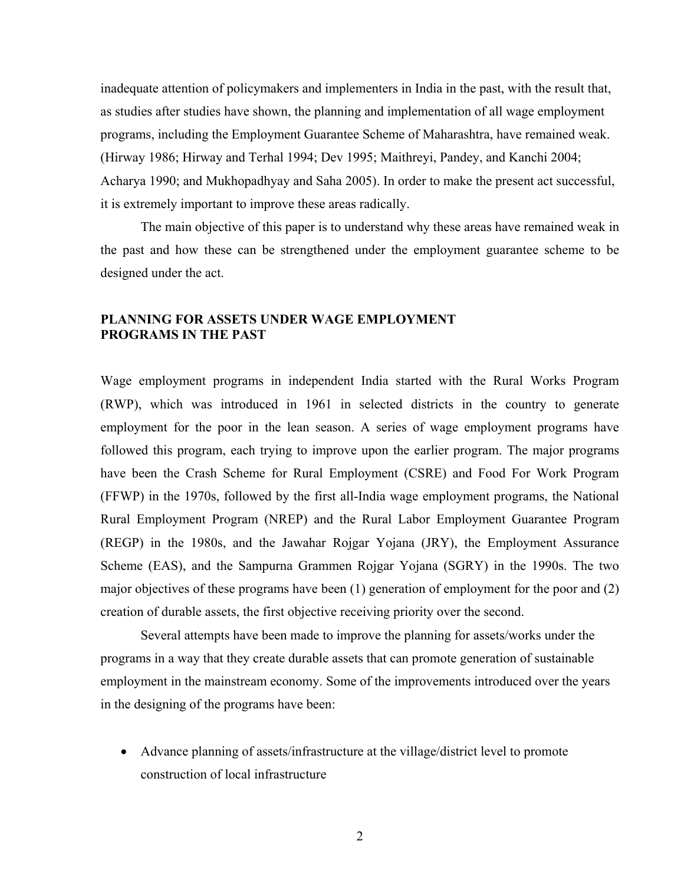inadequate attention of policymakers and implementers in India in the past, with the result that, as studies after studies have shown, the planning and implementation of all wage employment programs, including the Employment Guarantee Scheme of Maharashtra, have remained weak. (Hirway 1986; Hirway and Terhal 1994; Dev 1995; Maithreyi, Pandey, and Kanchi 2004; Acharya 1990; and Mukhopadhyay and Saha 2005). In order to make the present act successful, it is extremely important to improve these areas radically.

The main objective of this paper is to understand why these areas have remained weak in the past and how these can be strengthened under the employment guarantee scheme to be designed under the act.

# **PLANNING FOR ASSETS UNDER WAGE EMPLOYMENT PROGRAMS IN THE PAST**

Wage employment programs in independent India started with the Rural Works Program (RWP), which was introduced in 1961 in selected districts in the country to generate employment for the poor in the lean season. A series of wage employment programs have followed this program, each trying to improve upon the earlier program. The major programs have been the Crash Scheme for Rural Employment (CSRE) and Food For Work Program (FFWP) in the 1970s, followed by the first all-India wage employment programs, the National Rural Employment Program (NREP) and the Rural Labor Employment Guarantee Program (REGP) in the 1980s, and the Jawahar Rojgar Yojana (JRY), the Employment Assurance Scheme (EAS), and the Sampurna Grammen Rojgar Yojana (SGRY) in the 1990s. The two major objectives of these programs have been (1) generation of employment for the poor and (2) creation of durable assets, the first objective receiving priority over the second.

Several attempts have been made to improve the planning for assets/works under the programs in a way that they create durable assets that can promote generation of sustainable employment in the mainstream economy. Some of the improvements introduced over the years in the designing of the programs have been:

• Advance planning of assets/infrastructure at the village/district level to promote construction of local infrastructure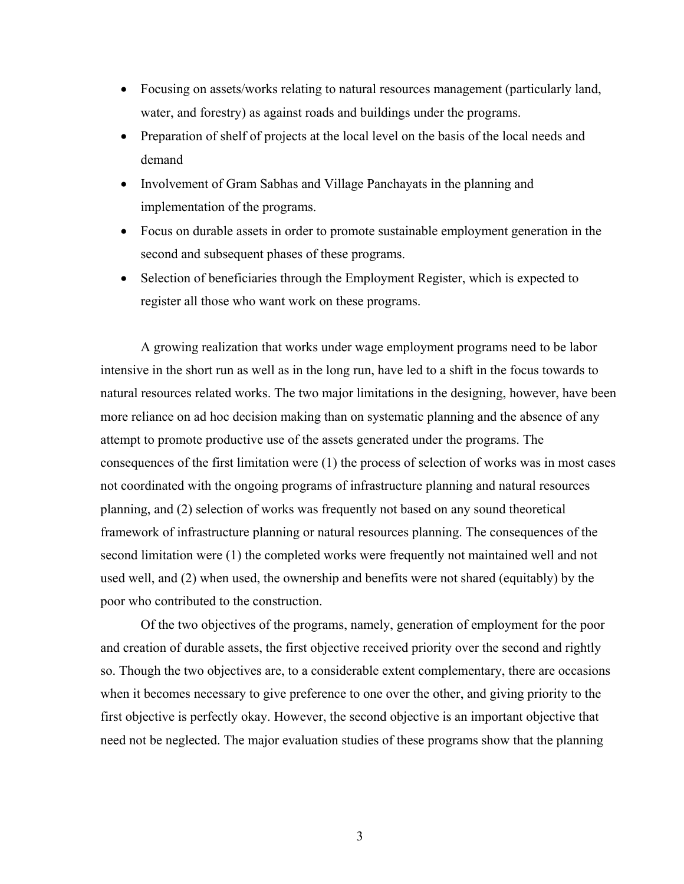- Focusing on assets/works relating to natural resources management (particularly land, water, and forestry) as against roads and buildings under the programs.
- Preparation of shelf of projects at the local level on the basis of the local needs and demand
- Involvement of Gram Sabhas and Village Panchayats in the planning and implementation of the programs.
- Focus on durable assets in order to promote sustainable employment generation in the second and subsequent phases of these programs.
- Selection of beneficiaries through the Employment Register, which is expected to register all those who want work on these programs.

A growing realization that works under wage employment programs need to be labor intensive in the short run as well as in the long run, have led to a shift in the focus towards to natural resources related works. The two major limitations in the designing, however, have been more reliance on ad hoc decision making than on systematic planning and the absence of any attempt to promote productive use of the assets generated under the programs. The consequences of the first limitation were (1) the process of selection of works was in most cases not coordinated with the ongoing programs of infrastructure planning and natural resources planning, and (2) selection of works was frequently not based on any sound theoretical framework of infrastructure planning or natural resources planning. The consequences of the second limitation were (1) the completed works were frequently not maintained well and not used well, and (2) when used, the ownership and benefits were not shared (equitably) by the poor who contributed to the construction.

Of the two objectives of the programs, namely, generation of employment for the poor and creation of durable assets, the first objective received priority over the second and rightly so. Though the two objectives are, to a considerable extent complementary, there are occasions when it becomes necessary to give preference to one over the other, and giving priority to the first objective is perfectly okay. However, the second objective is an important objective that need not be neglected. The major evaluation studies of these programs show that the planning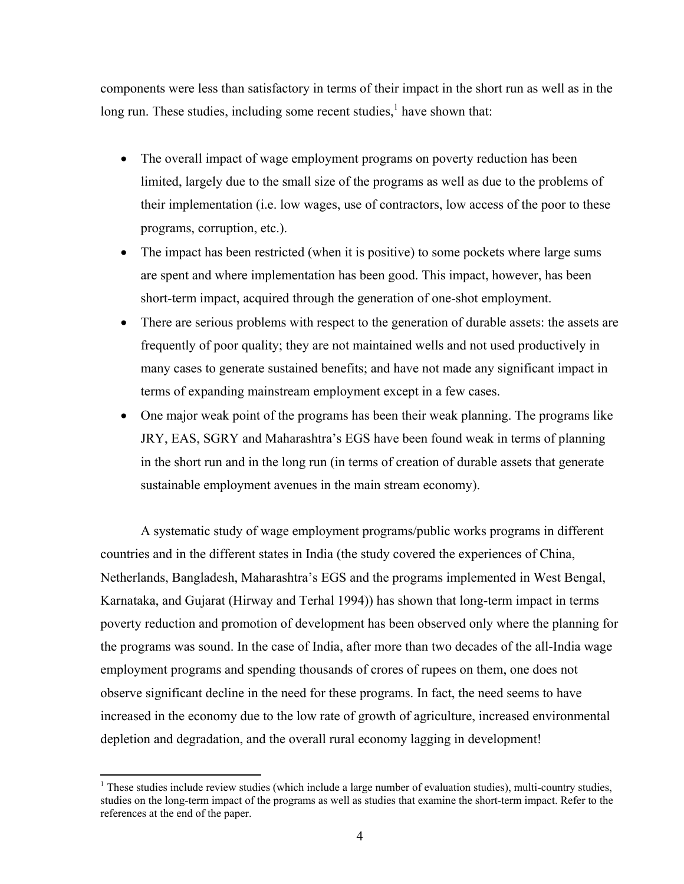components were less than satisfactory in terms of their impact in the short run as well as in the long run. These studies, including some recent studies, $<sup>1</sup>$  have shown that:</sup>

- The overall impact of wage employment programs on poverty reduction has been limited, largely due to the small size of the programs as well as due to the problems of their implementation (i.e. low wages, use of contractors, low access of the poor to these programs, corruption, etc.).
- The impact has been restricted (when it is positive) to some pockets where large sums are spent and where implementation has been good. This impact, however, has been short-term impact, acquired through the generation of one-shot employment.
- There are serious problems with respect to the generation of durable assets: the assets are frequently of poor quality; they are not maintained wells and not used productively in many cases to generate sustained benefits; and have not made any significant impact in terms of expanding mainstream employment except in a few cases.
- One major weak point of the programs has been their weak planning. The programs like JRY, EAS, SGRY and Maharashtra's EGS have been found weak in terms of planning in the short run and in the long run (in terms of creation of durable assets that generate sustainable employment avenues in the main stream economy).

A systematic study of wage employment programs/public works programs in different countries and in the different states in India (the study covered the experiences of China, Netherlands, Bangladesh, Maharashtra's EGS and the programs implemented in West Bengal, Karnataka, and Gujarat (Hirway and Terhal 1994)) has shown that long-term impact in terms poverty reduction and promotion of development has been observed only where the planning for the programs was sound. In the case of India, after more than two decades of the all-India wage employment programs and spending thousands of crores of rupees on them, one does not observe significant decline in the need for these programs. In fact, the need seems to have increased in the economy due to the low rate of growth of agriculture, increased environmental depletion and degradation, and the overall rural economy lagging in development!

 $1$  These studies include review studies (which include a large number of evaluation studies), multi-country studies, studies on the long-term impact of the programs as well as studies that examine the short-term impact. Refer to the references at the end of the paper.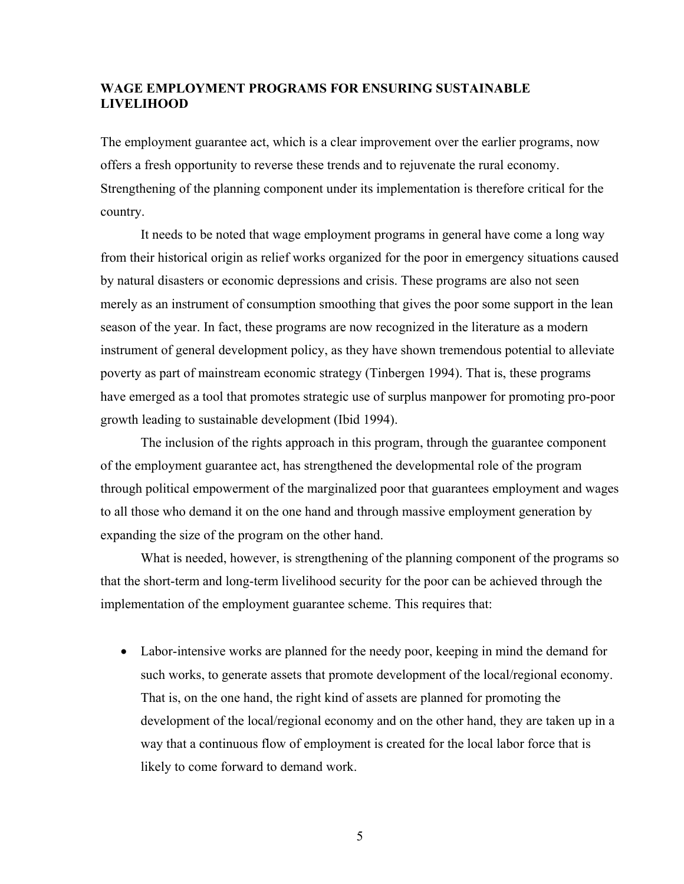# **WAGE EMPLOYMENT PROGRAMS FOR ENSURING SUSTAINABLE LIVELIHOOD**

The employment guarantee act, which is a clear improvement over the earlier programs, now offers a fresh opportunity to reverse these trends and to rejuvenate the rural economy. Strengthening of the planning component under its implementation is therefore critical for the country.

It needs to be noted that wage employment programs in general have come a long way from their historical origin as relief works organized for the poor in emergency situations caused by natural disasters or economic depressions and crisis. These programs are also not seen merely as an instrument of consumption smoothing that gives the poor some support in the lean season of the year. In fact, these programs are now recognized in the literature as a modern instrument of general development policy, as they have shown tremendous potential to alleviate poverty as part of mainstream economic strategy (Tinbergen 1994). That is, these programs have emerged as a tool that promotes strategic use of surplus manpower for promoting pro-poor growth leading to sustainable development (Ibid 1994).

The inclusion of the rights approach in this program, through the guarantee component of the employment guarantee act, has strengthened the developmental role of the program through political empowerment of the marginalized poor that guarantees employment and wages to all those who demand it on the one hand and through massive employment generation by expanding the size of the program on the other hand.

What is needed, however, is strengthening of the planning component of the programs so that the short-term and long-term livelihood security for the poor can be achieved through the implementation of the employment guarantee scheme. This requires that:

• Labor-intensive works are planned for the needy poor, keeping in mind the demand for such works, to generate assets that promote development of the local/regional economy. That is, on the one hand, the right kind of assets are planned for promoting the development of the local/regional economy and on the other hand, they are taken up in a way that a continuous flow of employment is created for the local labor force that is likely to come forward to demand work.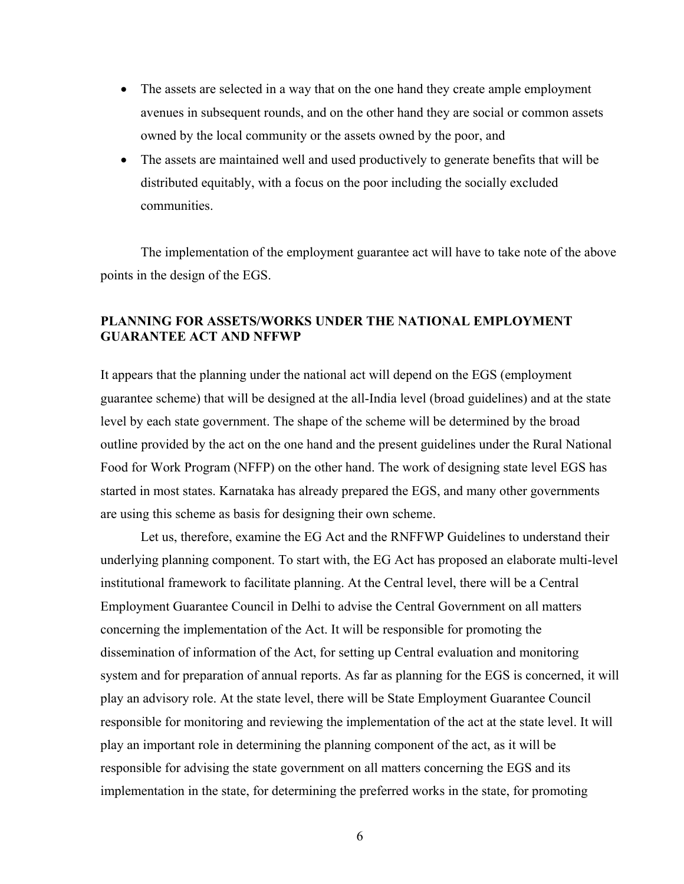- The assets are selected in a way that on the one hand they create ample employment avenues in subsequent rounds, and on the other hand they are social or common assets owned by the local community or the assets owned by the poor, and
- The assets are maintained well and used productively to generate benefits that will be distributed equitably, with a focus on the poor including the socially excluded communities.

The implementation of the employment guarantee act will have to take note of the above points in the design of the EGS.

# **PLANNING FOR ASSETS/WORKS UNDER THE NATIONAL EMPLOYMENT GUARANTEE ACT AND NFFWP**

It appears that the planning under the national act will depend on the EGS (employment guarantee scheme) that will be designed at the all-India level (broad guidelines) and at the state level by each state government. The shape of the scheme will be determined by the broad outline provided by the act on the one hand and the present guidelines under the Rural National Food for Work Program (NFFP) on the other hand. The work of designing state level EGS has started in most states. Karnataka has already prepared the EGS, and many other governments are using this scheme as basis for designing their own scheme.

Let us, therefore, examine the EG Act and the RNFFWP Guidelines to understand their underlying planning component. To start with, the EG Act has proposed an elaborate multi-level institutional framework to facilitate planning. At the Central level, there will be a Central Employment Guarantee Council in Delhi to advise the Central Government on all matters concerning the implementation of the Act. It will be responsible for promoting the dissemination of information of the Act, for setting up Central evaluation and monitoring system and for preparation of annual reports. As far as planning for the EGS is concerned, it will play an advisory role. At the state level, there will be State Employment Guarantee Council responsible for monitoring and reviewing the implementation of the act at the state level. It will play an important role in determining the planning component of the act, as it will be responsible for advising the state government on all matters concerning the EGS and its implementation in the state, for determining the preferred works in the state, for promoting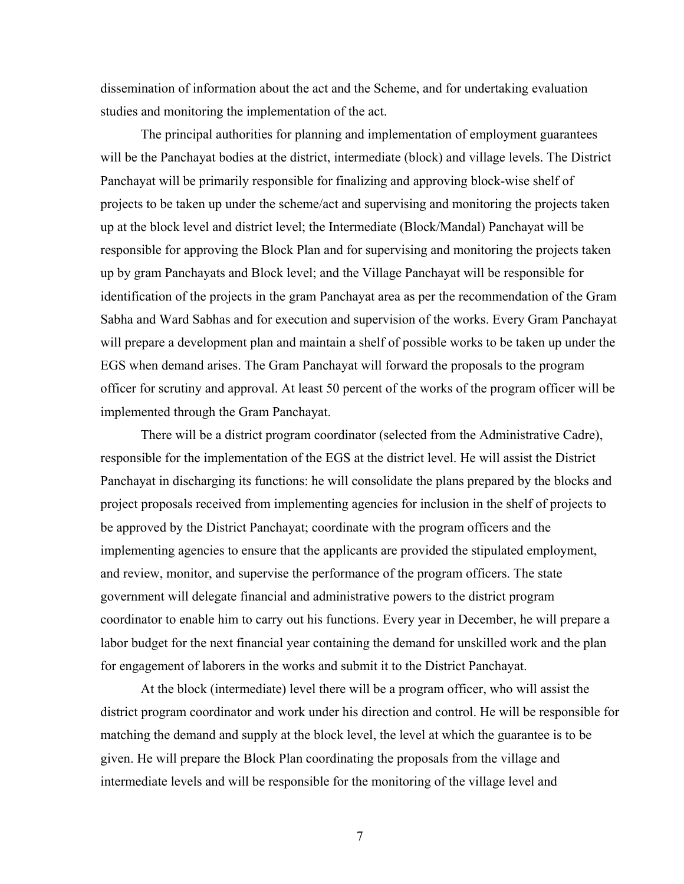dissemination of information about the act and the Scheme, and for undertaking evaluation studies and monitoring the implementation of the act.

 The principal authorities for planning and implementation of employment guarantees will be the Panchayat bodies at the district, intermediate (block) and village levels. The District Panchayat will be primarily responsible for finalizing and approving block-wise shelf of projects to be taken up under the scheme/act and supervising and monitoring the projects taken up at the block level and district level; the Intermediate (Block/Mandal) Panchayat will be responsible for approving the Block Plan and for supervising and monitoring the projects taken up by gram Panchayats and Block level; and the Village Panchayat will be responsible for identification of the projects in the gram Panchayat area as per the recommendation of the Gram Sabha and Ward Sabhas and for execution and supervision of the works. Every Gram Panchayat will prepare a development plan and maintain a shelf of possible works to be taken up under the EGS when demand arises. The Gram Panchayat will forward the proposals to the program officer for scrutiny and approval. At least 50 percent of the works of the program officer will be implemented through the Gram Panchayat.

There will be a district program coordinator (selected from the Administrative Cadre), responsible for the implementation of the EGS at the district level. He will assist the District Panchayat in discharging its functions: he will consolidate the plans prepared by the blocks and project proposals received from implementing agencies for inclusion in the shelf of projects to be approved by the District Panchayat; coordinate with the program officers and the implementing agencies to ensure that the applicants are provided the stipulated employment, and review, monitor, and supervise the performance of the program officers. The state government will delegate financial and administrative powers to the district program coordinator to enable him to carry out his functions. Every year in December, he will prepare a labor budget for the next financial year containing the demand for unskilled work and the plan for engagement of laborers in the works and submit it to the District Panchayat.

At the block (intermediate) level there will be a program officer, who will assist the district program coordinator and work under his direction and control. He will be responsible for matching the demand and supply at the block level, the level at which the guarantee is to be given. He will prepare the Block Plan coordinating the proposals from the village and intermediate levels and will be responsible for the monitoring of the village level and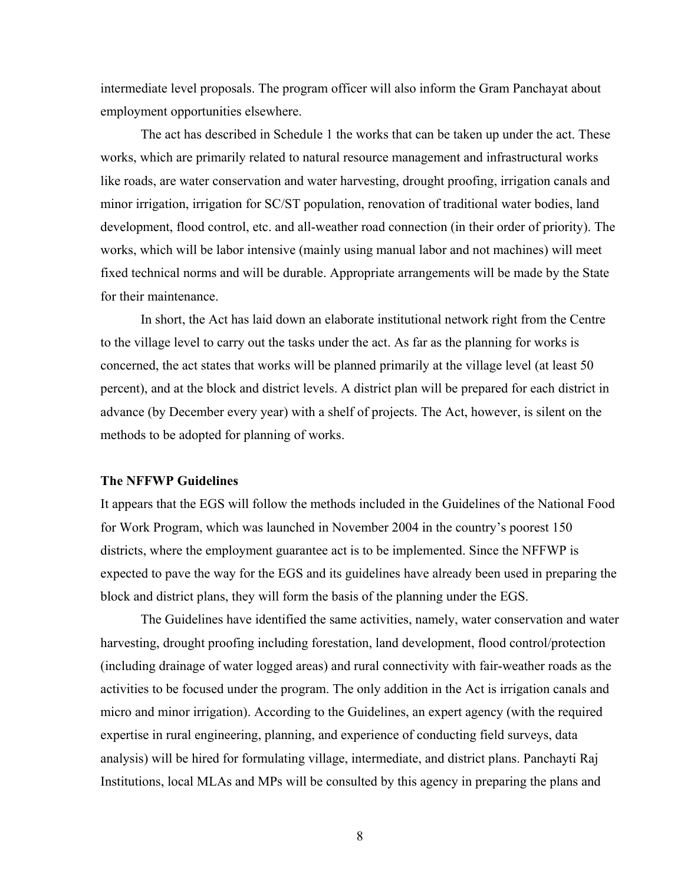intermediate level proposals. The program officer will also inform the Gram Panchayat about employment opportunities elsewhere.

The act has described in Schedule 1 the works that can be taken up under the act. These works, which are primarily related to natural resource management and infrastructural works like roads, are water conservation and water harvesting, drought proofing, irrigation canals and minor irrigation, irrigation for SC/ST population, renovation of traditional water bodies, land development, flood control, etc. and all-weather road connection (in their order of priority). The works, which will be labor intensive (mainly using manual labor and not machines) will meet fixed technical norms and will be durable. Appropriate arrangements will be made by the State for their maintenance.

In short, the Act has laid down an elaborate institutional network right from the Centre to the village level to carry out the tasks under the act. As far as the planning for works is concerned, the act states that works will be planned primarily at the village level (at least 50 percent), and at the block and district levels. A district plan will be prepared for each district in advance (by December every year) with a shelf of projects. The Act, however, is silent on the methods to be adopted for planning of works.

#### **The NFFWP Guidelines**

It appears that the EGS will follow the methods included in the Guidelines of the National Food for Work Program, which was launched in November 2004 in the country's poorest 150 districts, where the employment guarantee act is to be implemented. Since the NFFWP is expected to pave the way for the EGS and its guidelines have already been used in preparing the block and district plans, they will form the basis of the planning under the EGS.

The Guidelines have identified the same activities, namely, water conservation and water harvesting, drought proofing including forestation, land development, flood control/protection (including drainage of water logged areas) and rural connectivity with fair-weather roads as the activities to be focused under the program. The only addition in the Act is irrigation canals and micro and minor irrigation). According to the Guidelines, an expert agency (with the required expertise in rural engineering, planning, and experience of conducting field surveys, data analysis) will be hired for formulating village, intermediate, and district plans. Panchayti Raj Institutions, local MLAs and MPs will be consulted by this agency in preparing the plans and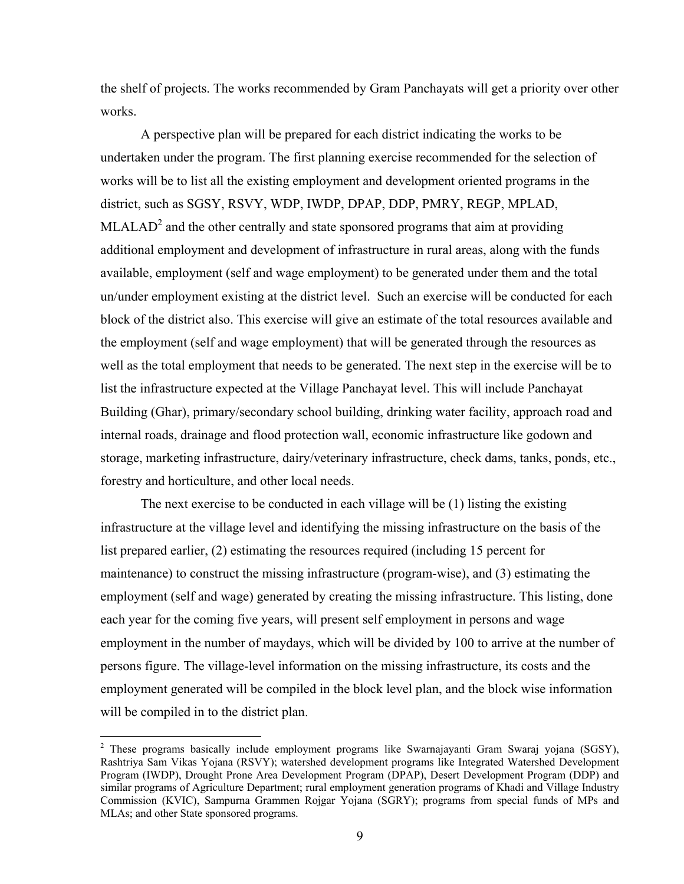the shelf of projects. The works recommended by Gram Panchayats will get a priority over other works.

A perspective plan will be prepared for each district indicating the works to be undertaken under the program. The first planning exercise recommended for the selection of works will be to list all the existing employment and development oriented programs in the district, such as SGSY, RSVY, WDP, IWDP, DPAP, DDP, PMRY, REGP, MPLAD,  $MLALAD<sup>2</sup>$  and the other centrally and state sponsored programs that aim at providing additional employment and development of infrastructure in rural areas, along with the funds available, employment (self and wage employment) to be generated under them and the total un/under employment existing at the district level. Such an exercise will be conducted for each block of the district also. This exercise will give an estimate of the total resources available and the employment (self and wage employment) that will be generated through the resources as well as the total employment that needs to be generated. The next step in the exercise will be to list the infrastructure expected at the Village Panchayat level. This will include Panchayat Building (Ghar), primary/secondary school building, drinking water facility, approach road and internal roads, drainage and flood protection wall, economic infrastructure like godown and storage, marketing infrastructure, dairy/veterinary infrastructure, check dams, tanks, ponds, etc., forestry and horticulture, and other local needs.

The next exercise to be conducted in each village will be (1) listing the existing infrastructure at the village level and identifying the missing infrastructure on the basis of the list prepared earlier, (2) estimating the resources required (including 15 percent for maintenance) to construct the missing infrastructure (program-wise), and (3) estimating the employment (self and wage) generated by creating the missing infrastructure. This listing, done each year for the coming five years, will present self employment in persons and wage employment in the number of maydays, which will be divided by 100 to arrive at the number of persons figure. The village-level information on the missing infrastructure, its costs and the employment generated will be compiled in the block level plan, and the block wise information will be compiled in to the district plan.

 $\overline{a}$ 

<sup>&</sup>lt;sup>2</sup> These programs basically include employment programs like Swarnajayanti Gram Swaraj yojana (SGSY), Rashtriya Sam Vikas Yojana (RSVY); watershed development programs like Integrated Watershed Development Program (IWDP), Drought Prone Area Development Program (DPAP), Desert Development Program (DDP) and similar programs of Agriculture Department; rural employment generation programs of Khadi and Village Industry Commission (KVIC), Sampurna Grammen Rojgar Yojana (SGRY); programs from special funds of MPs and MLAs; and other State sponsored programs.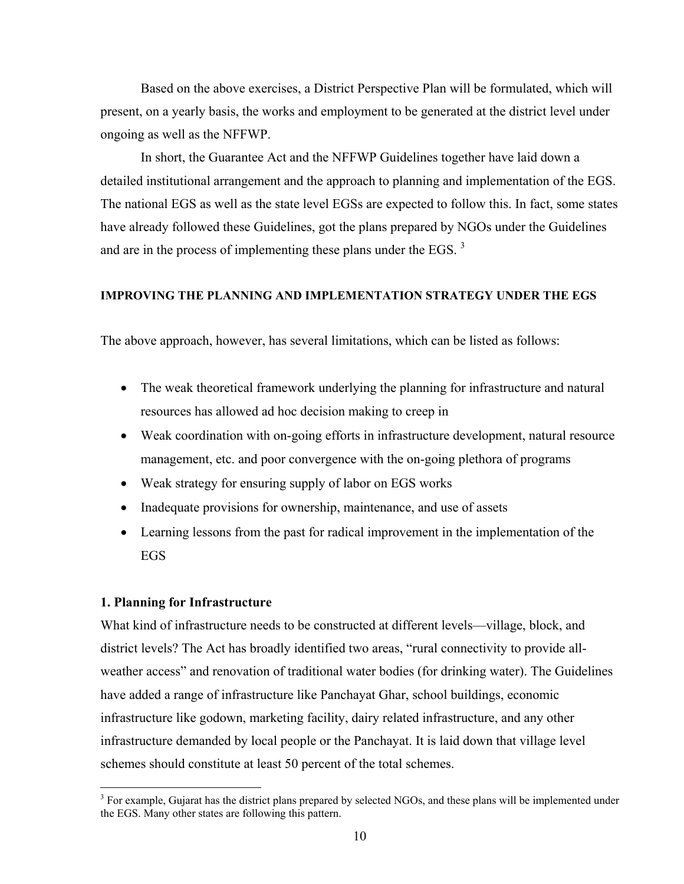Based on the above exercises, a District Perspective Plan will be formulated, which will present, on a yearly basis, the works and employment to be generated at the district level under ongoing as well as the NFFWP.

In short, the Guarantee Act and the NFFWP Guidelines together have laid down a detailed institutional arrangement and the approach to planning and implementation of the EGS. The national EGS as well as the state level EGSs are expected to follow this. In fact, some states have already followed these Guidelines, got the plans prepared by NGOs under the Guidelines and are in the process of implementing these plans under the EGS.  $3$ 

## **IMPROVING THE PLANNING AND IMPLEMENTATION STRATEGY UNDER THE EGS**

The above approach, however, has several limitations, which can be listed as follows:

- The weak theoretical framework underlying the planning for infrastructure and natural resources has allowed ad hoc decision making to creep in
- Weak coordination with on-going efforts in infrastructure development, natural resource management, etc. and poor convergence with the on-going plethora of programs
- Weak strategy for ensuring supply of labor on EGS works
- Inadequate provisions for ownership, maintenance, and use of assets
- Learning lessons from the past for radical improvement in the implementation of the EGS

### **1. Planning for Infrastructure**

 $\overline{a}$ 

What kind of infrastructure needs to be constructed at different levels—village, block, and district levels? The Act has broadly identified two areas, "rural connectivity to provide allweather access" and renovation of traditional water bodies (for drinking water). The Guidelines have added a range of infrastructure like Panchayat Ghar, school buildings, economic infrastructure like godown, marketing facility, dairy related infrastructure, and any other infrastructure demanded by local people or the Panchayat. It is laid down that village level schemes should constitute at least 50 percent of the total schemes.

 $3$  For example, Gujarat has the district plans prepared by selected NGOs, and these plans will be implemented under the EGS. Many other states are following this pattern.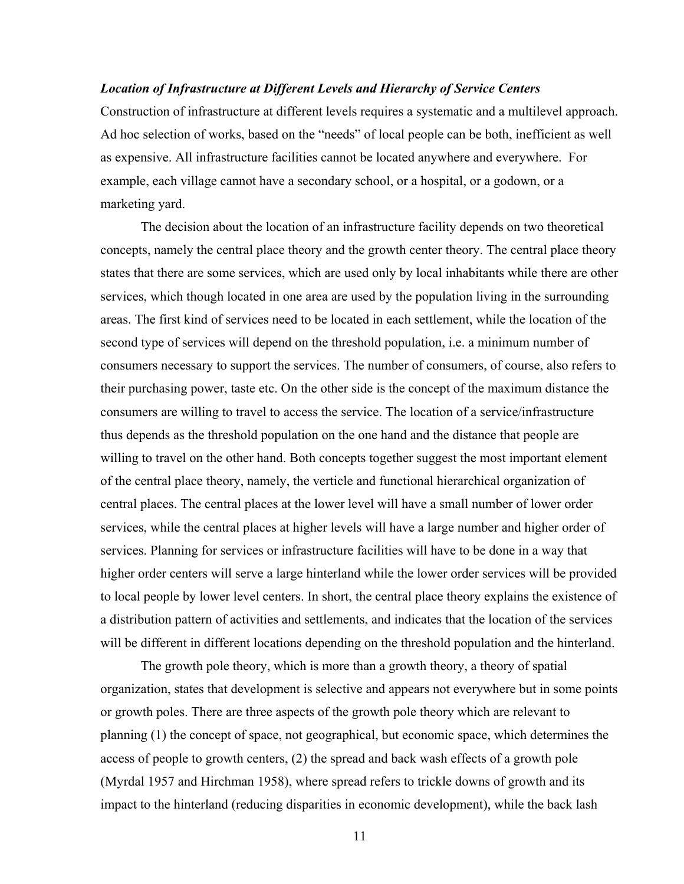## *Location of Infrastructure at Different Levels and Hierarchy of Service Centers*

Construction of infrastructure at different levels requires a systematic and a multilevel approach. Ad hoc selection of works, based on the "needs" of local people can be both, inefficient as well as expensive. All infrastructure facilities cannot be located anywhere and everywhere. For example, each village cannot have a secondary school, or a hospital, or a godown, or a marketing yard.

The decision about the location of an infrastructure facility depends on two theoretical concepts, namely the central place theory and the growth center theory. The central place theory states that there are some services, which are used only by local inhabitants while there are other services, which though located in one area are used by the population living in the surrounding areas. The first kind of services need to be located in each settlement, while the location of the second type of services will depend on the threshold population, i.e. a minimum number of consumers necessary to support the services. The number of consumers, of course, also refers to their purchasing power, taste etc. On the other side is the concept of the maximum distance the consumers are willing to travel to access the service. The location of a service/infrastructure thus depends as the threshold population on the one hand and the distance that people are willing to travel on the other hand. Both concepts together suggest the most important element of the central place theory, namely, the verticle and functional hierarchical organization of central places. The central places at the lower level will have a small number of lower order services, while the central places at higher levels will have a large number and higher order of services. Planning for services or infrastructure facilities will have to be done in a way that higher order centers will serve a large hinterland while the lower order services will be provided to local people by lower level centers. In short, the central place theory explains the existence of a distribution pattern of activities and settlements, and indicates that the location of the services will be different in different locations depending on the threshold population and the hinterland.

The growth pole theory, which is more than a growth theory, a theory of spatial organization, states that development is selective and appears not everywhere but in some points or growth poles. There are three aspects of the growth pole theory which are relevant to planning (1) the concept of space, not geographical, but economic space, which determines the access of people to growth centers, (2) the spread and back wash effects of a growth pole (Myrdal 1957 and Hirchman 1958), where spread refers to trickle downs of growth and its impact to the hinterland (reducing disparities in economic development), while the back lash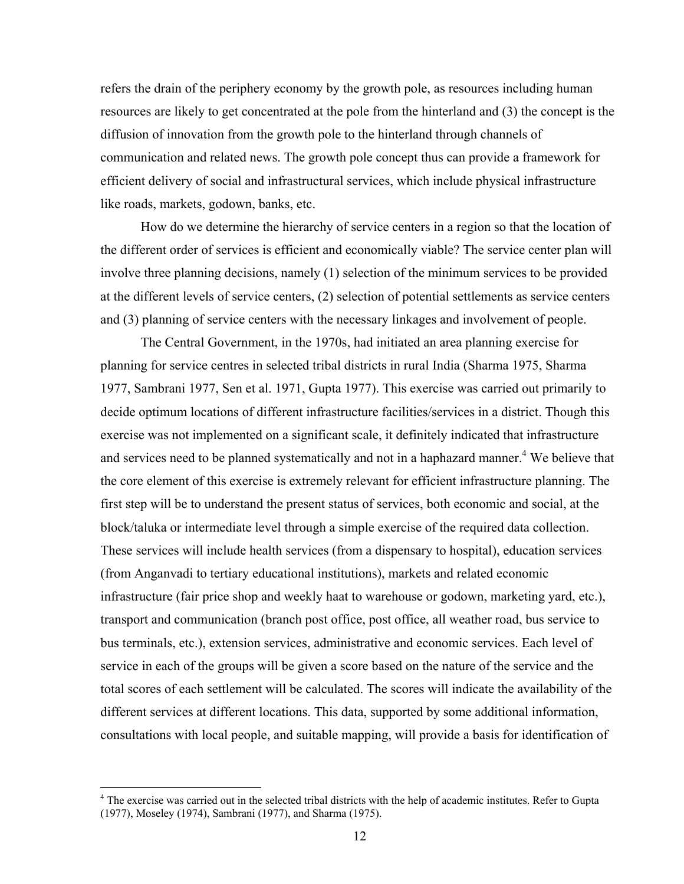refers the drain of the periphery economy by the growth pole, as resources including human resources are likely to get concentrated at the pole from the hinterland and (3) the concept is the diffusion of innovation from the growth pole to the hinterland through channels of communication and related news. The growth pole concept thus can provide a framework for efficient delivery of social and infrastructural services, which include physical infrastructure like roads, markets, godown, banks, etc.

How do we determine the hierarchy of service centers in a region so that the location of the different order of services is efficient and economically viable? The service center plan will involve three planning decisions, namely (1) selection of the minimum services to be provided at the different levels of service centers, (2) selection of potential settlements as service centers and (3) planning of service centers with the necessary linkages and involvement of people.

The Central Government, in the 1970s, had initiated an area planning exercise for planning for service centres in selected tribal districts in rural India (Sharma 1975, Sharma 1977, Sambrani 1977, Sen et al. 1971, Gupta 1977). This exercise was carried out primarily to decide optimum locations of different infrastructure facilities/services in a district. Though this exercise was not implemented on a significant scale, it definitely indicated that infrastructure and services need to be planned systematically and not in a haphazard manner.<sup>4</sup> We believe that the core element of this exercise is extremely relevant for efficient infrastructure planning. The first step will be to understand the present status of services, both economic and social, at the block/taluka or intermediate level through a simple exercise of the required data collection. These services will include health services (from a dispensary to hospital), education services (from Anganvadi to tertiary educational institutions), markets and related economic infrastructure (fair price shop and weekly haat to warehouse or godown, marketing yard, etc.), transport and communication (branch post office, post office, all weather road, bus service to bus terminals, etc.), extension services, administrative and economic services. Each level of service in each of the groups will be given a score based on the nature of the service and the total scores of each settlement will be calculated. The scores will indicate the availability of the different services at different locations. This data, supported by some additional information, consultations with local people, and suitable mapping, will provide a basis for identification of

 $\overline{a}$ 

<sup>&</sup>lt;sup>4</sup> The exercise was carried out in the selected tribal districts with the help of academic institutes. Refer to Gupta (1977), Moseley (1974), Sambrani (1977), and Sharma (1975).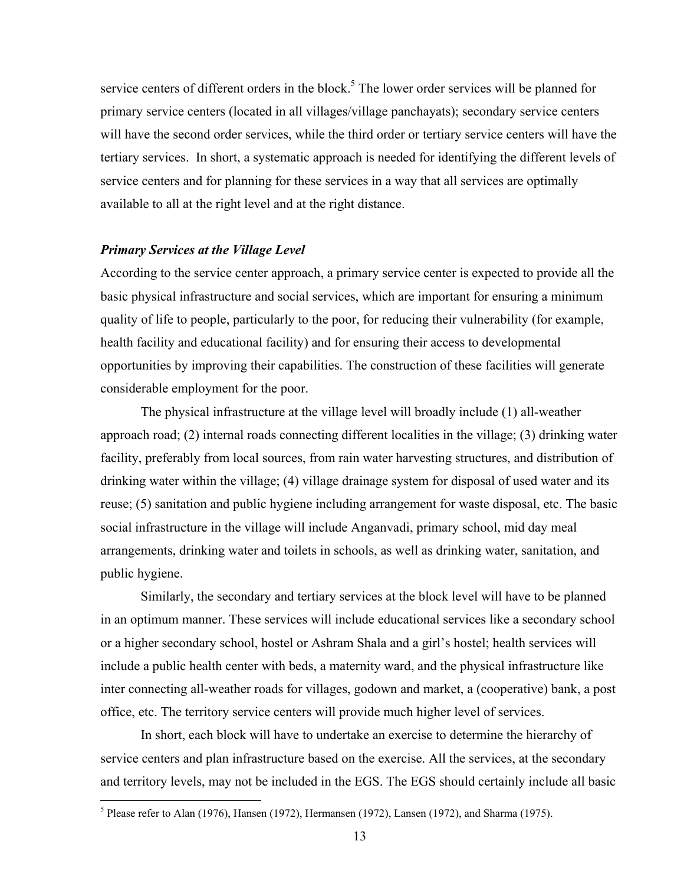service centers of different orders in the block.<sup>5</sup> The lower order services will be planned for primary service centers (located in all villages/village panchayats); secondary service centers will have the second order services, while the third order or tertiary service centers will have the tertiary services. In short, a systematic approach is needed for identifying the different levels of service centers and for planning for these services in a way that all services are optimally available to all at the right level and at the right distance.

#### *Primary Services at the Village Level*

1

According to the service center approach, a primary service center is expected to provide all the basic physical infrastructure and social services, which are important for ensuring a minimum quality of life to people, particularly to the poor, for reducing their vulnerability (for example, health facility and educational facility) and for ensuring their access to developmental opportunities by improving their capabilities. The construction of these facilities will generate considerable employment for the poor.

The physical infrastructure at the village level will broadly include (1) all-weather approach road; (2) internal roads connecting different localities in the village; (3) drinking water facility, preferably from local sources, from rain water harvesting structures, and distribution of drinking water within the village; (4) village drainage system for disposal of used water and its reuse; (5) sanitation and public hygiene including arrangement for waste disposal, etc. The basic social infrastructure in the village will include Anganvadi, primary school, mid day meal arrangements, drinking water and toilets in schools, as well as drinking water, sanitation, and public hygiene.

Similarly, the secondary and tertiary services at the block level will have to be planned in an optimum manner. These services will include educational services like a secondary school or a higher secondary school, hostel or Ashram Shala and a girl's hostel; health services will include a public health center with beds, a maternity ward, and the physical infrastructure like inter connecting all-weather roads for villages, godown and market, a (cooperative) bank, a post office, etc. The territory service centers will provide much higher level of services.

In short, each block will have to undertake an exercise to determine the hierarchy of service centers and plan infrastructure based on the exercise. All the services, at the secondary and territory levels, may not be included in the EGS. The EGS should certainly include all basic

<sup>&</sup>lt;sup>5</sup> Please refer to Alan (1976), Hansen (1972), Hermansen (1972), Lansen (1972), and Sharma (1975).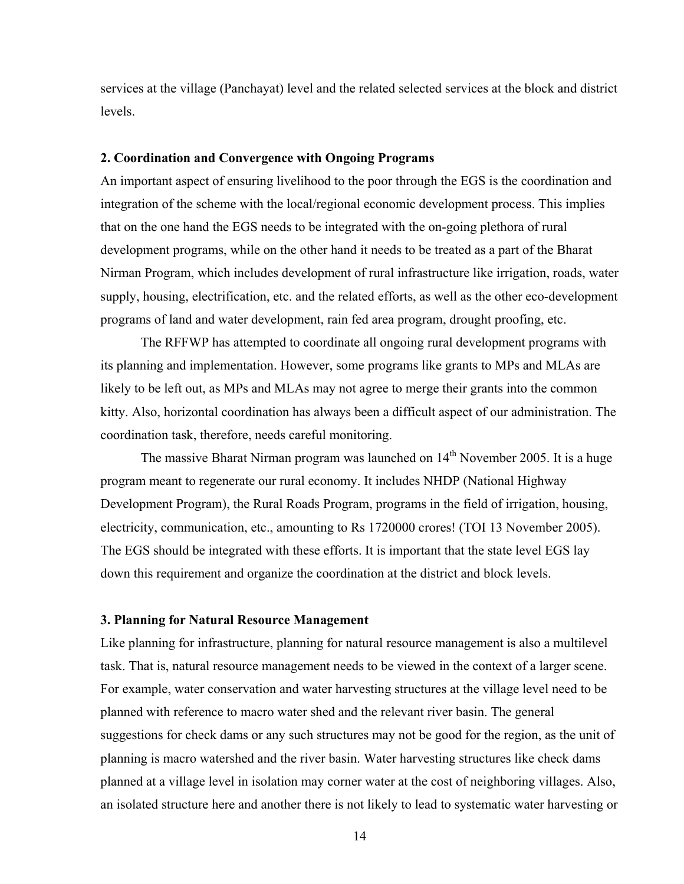services at the village (Panchayat) level and the related selected services at the block and district levels.

#### **2. Coordination and Convergence with Ongoing Programs**

An important aspect of ensuring livelihood to the poor through the EGS is the coordination and integration of the scheme with the local/regional economic development process. This implies that on the one hand the EGS needs to be integrated with the on-going plethora of rural development programs, while on the other hand it needs to be treated as a part of the Bharat Nirman Program, which includes development of rural infrastructure like irrigation, roads, water supply, housing, electrification, etc. and the related efforts, as well as the other eco-development programs of land and water development, rain fed area program, drought proofing, etc.

The RFFWP has attempted to coordinate all ongoing rural development programs with its planning and implementation. However, some programs like grants to MPs and MLAs are likely to be left out, as MPs and MLAs may not agree to merge their grants into the common kitty. Also, horizontal coordination has always been a difficult aspect of our administration. The coordination task, therefore, needs careful monitoring.

The massive Bharat Nirman program was launched on  $14<sup>th</sup>$  November 2005. It is a huge program meant to regenerate our rural economy. It includes NHDP (National Highway Development Program), the Rural Roads Program, programs in the field of irrigation, housing, electricity, communication, etc., amounting to Rs 1720000 crores! (TOI 13 November 2005). The EGS should be integrated with these efforts. It is important that the state level EGS lay down this requirement and organize the coordination at the district and block levels.

## **3. Planning for Natural Resource Management**

Like planning for infrastructure, planning for natural resource management is also a multilevel task. That is, natural resource management needs to be viewed in the context of a larger scene. For example, water conservation and water harvesting structures at the village level need to be planned with reference to macro water shed and the relevant river basin. The general suggestions for check dams or any such structures may not be good for the region, as the unit of planning is macro watershed and the river basin. Water harvesting structures like check dams planned at a village level in isolation may corner water at the cost of neighboring villages. Also, an isolated structure here and another there is not likely to lead to systematic water harvesting or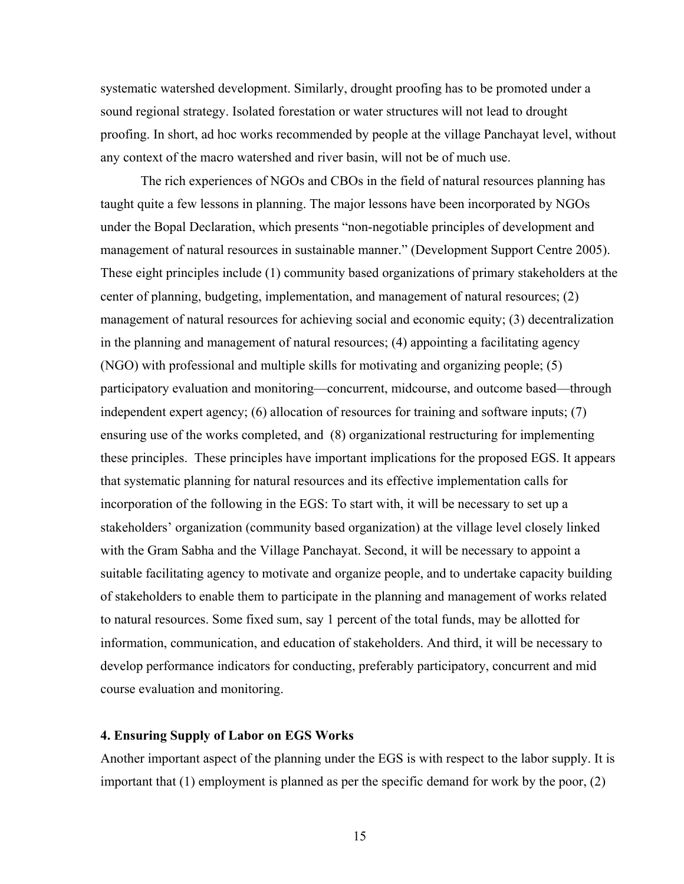systematic watershed development. Similarly, drought proofing has to be promoted under a sound regional strategy. Isolated forestation or water structures will not lead to drought proofing. In short, ad hoc works recommended by people at the village Panchayat level, without any context of the macro watershed and river basin, will not be of much use.

The rich experiences of NGOs and CBOs in the field of natural resources planning has taught quite a few lessons in planning. The major lessons have been incorporated by NGOs under the Bopal Declaration, which presents "non-negotiable principles of development and management of natural resources in sustainable manner." (Development Support Centre 2005). These eight principles include (1) community based organizations of primary stakeholders at the center of planning, budgeting, implementation, and management of natural resources; (2) management of natural resources for achieving social and economic equity; (3) decentralization in the planning and management of natural resources; (4) appointing a facilitating agency (NGO) with professional and multiple skills for motivating and organizing people; (5) participatory evaluation and monitoring—concurrent, midcourse, and outcome based—through independent expert agency; (6) allocation of resources for training and software inputs; (7) ensuring use of the works completed, and (8) organizational restructuring for implementing these principles. These principles have important implications for the proposed EGS. It appears that systematic planning for natural resources and its effective implementation calls for incorporation of the following in the EGS: To start with, it will be necessary to set up a stakeholders' organization (community based organization) at the village level closely linked with the Gram Sabha and the Village Panchayat. Second, it will be necessary to appoint a suitable facilitating agency to motivate and organize people, and to undertake capacity building of stakeholders to enable them to participate in the planning and management of works related to natural resources. Some fixed sum, say 1 percent of the total funds, may be allotted for information, communication, and education of stakeholders. And third, it will be necessary to develop performance indicators for conducting, preferably participatory, concurrent and mid course evaluation and monitoring.

## **4. Ensuring Supply of Labor on EGS Works**

Another important aspect of the planning under the EGS is with respect to the labor supply. It is important that (1) employment is planned as per the specific demand for work by the poor, (2)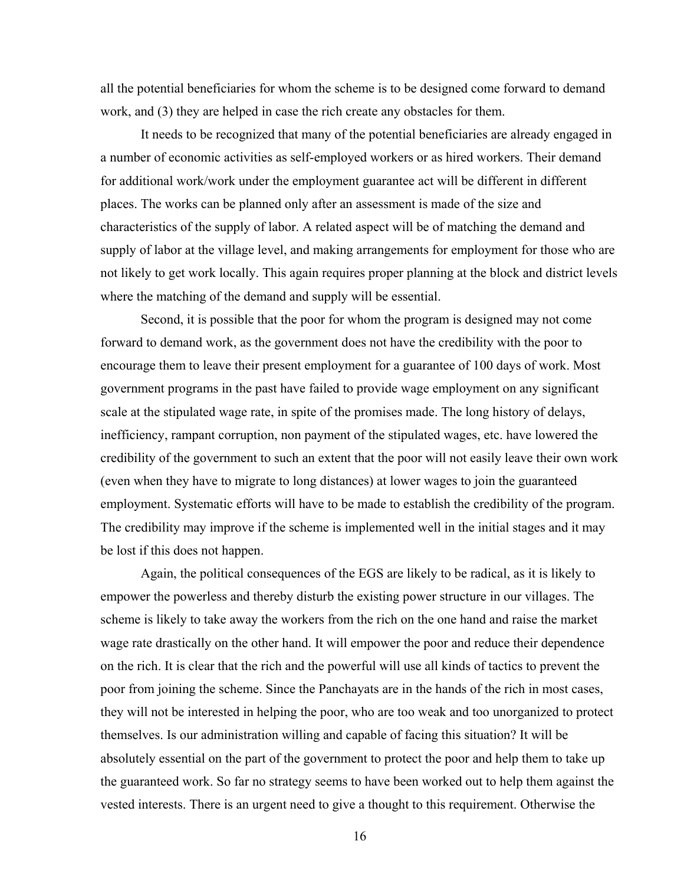all the potential beneficiaries for whom the scheme is to be designed come forward to demand work, and (3) they are helped in case the rich create any obstacles for them.

It needs to be recognized that many of the potential beneficiaries are already engaged in a number of economic activities as self-employed workers or as hired workers. Their demand for additional work/work under the employment guarantee act will be different in different places. The works can be planned only after an assessment is made of the size and characteristics of the supply of labor. A related aspect will be of matching the demand and supply of labor at the village level, and making arrangements for employment for those who are not likely to get work locally. This again requires proper planning at the block and district levels where the matching of the demand and supply will be essential.

Second, it is possible that the poor for whom the program is designed may not come forward to demand work, as the government does not have the credibility with the poor to encourage them to leave their present employment for a guarantee of 100 days of work. Most government programs in the past have failed to provide wage employment on any significant scale at the stipulated wage rate, in spite of the promises made. The long history of delays, inefficiency, rampant corruption, non payment of the stipulated wages, etc. have lowered the credibility of the government to such an extent that the poor will not easily leave their own work (even when they have to migrate to long distances) at lower wages to join the guaranteed employment. Systematic efforts will have to be made to establish the credibility of the program. The credibility may improve if the scheme is implemented well in the initial stages and it may be lost if this does not happen.

Again, the political consequences of the EGS are likely to be radical, as it is likely to empower the powerless and thereby disturb the existing power structure in our villages. The scheme is likely to take away the workers from the rich on the one hand and raise the market wage rate drastically on the other hand. It will empower the poor and reduce their dependence on the rich. It is clear that the rich and the powerful will use all kinds of tactics to prevent the poor from joining the scheme. Since the Panchayats are in the hands of the rich in most cases, they will not be interested in helping the poor, who are too weak and too unorganized to protect themselves. Is our administration willing and capable of facing this situation? It will be absolutely essential on the part of the government to protect the poor and help them to take up the guaranteed work. So far no strategy seems to have been worked out to help them against the vested interests. There is an urgent need to give a thought to this requirement. Otherwise the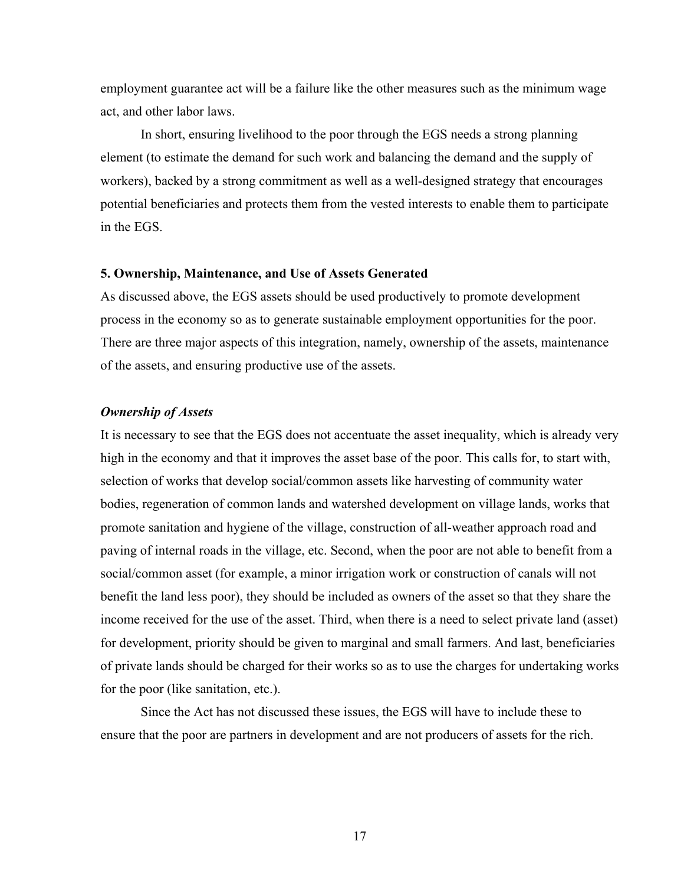employment guarantee act will be a failure like the other measures such as the minimum wage act, and other labor laws.

In short, ensuring livelihood to the poor through the EGS needs a strong planning element (to estimate the demand for such work and balancing the demand and the supply of workers), backed by a strong commitment as well as a well-designed strategy that encourages potential beneficiaries and protects them from the vested interests to enable them to participate in the EGS.

#### **5. Ownership, Maintenance, and Use of Assets Generated**

As discussed above, the EGS assets should be used productively to promote development process in the economy so as to generate sustainable employment opportunities for the poor. There are three major aspects of this integration, namely, ownership of the assets, maintenance of the assets, and ensuring productive use of the assets.

### *Ownership of Assets*

It is necessary to see that the EGS does not accentuate the asset inequality, which is already very high in the economy and that it improves the asset base of the poor. This calls for, to start with, selection of works that develop social/common assets like harvesting of community water bodies, regeneration of common lands and watershed development on village lands, works that promote sanitation and hygiene of the village, construction of all-weather approach road and paving of internal roads in the village, etc. Second, when the poor are not able to benefit from a social/common asset (for example, a minor irrigation work or construction of canals will not benefit the land less poor), they should be included as owners of the asset so that they share the income received for the use of the asset. Third, when there is a need to select private land (asset) for development, priority should be given to marginal and small farmers. And last, beneficiaries of private lands should be charged for their works so as to use the charges for undertaking works for the poor (like sanitation, etc.).

Since the Act has not discussed these issues, the EGS will have to include these to ensure that the poor are partners in development and are not producers of assets for the rich.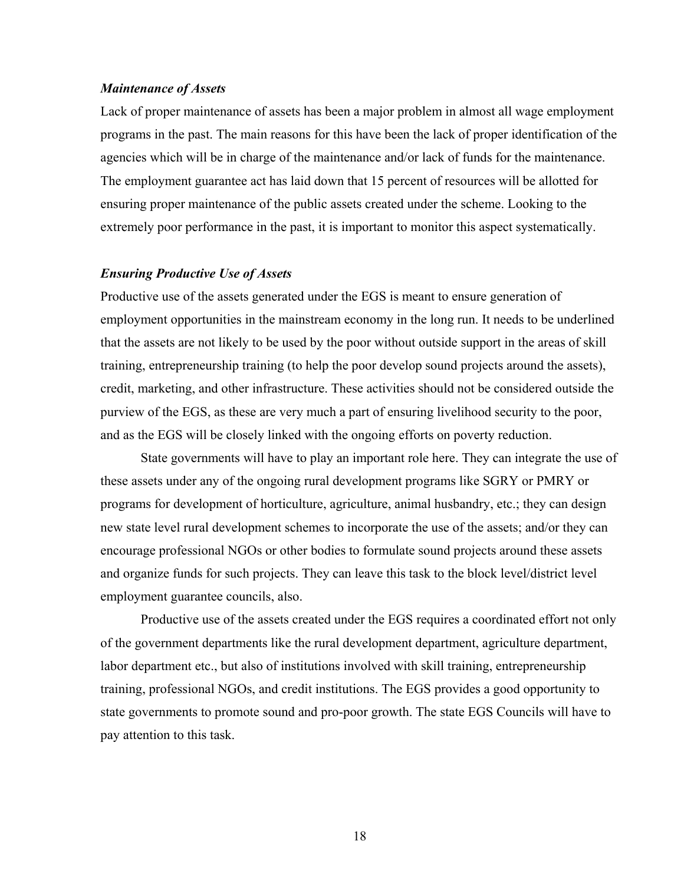## *Maintenance of Assets*

Lack of proper maintenance of assets has been a major problem in almost all wage employment programs in the past. The main reasons for this have been the lack of proper identification of the agencies which will be in charge of the maintenance and/or lack of funds for the maintenance. The employment guarantee act has laid down that 15 percent of resources will be allotted for ensuring proper maintenance of the public assets created under the scheme. Looking to the extremely poor performance in the past, it is important to monitor this aspect systematically.

#### *Ensuring Productive Use of Assets*

Productive use of the assets generated under the EGS is meant to ensure generation of employment opportunities in the mainstream economy in the long run. It needs to be underlined that the assets are not likely to be used by the poor without outside support in the areas of skill training, entrepreneurship training (to help the poor develop sound projects around the assets), credit, marketing, and other infrastructure. These activities should not be considered outside the purview of the EGS, as these are very much a part of ensuring livelihood security to the poor, and as the EGS will be closely linked with the ongoing efforts on poverty reduction.

State governments will have to play an important role here. They can integrate the use of these assets under any of the ongoing rural development programs like SGRY or PMRY or programs for development of horticulture, agriculture, animal husbandry, etc.; they can design new state level rural development schemes to incorporate the use of the assets; and/or they can encourage professional NGOs or other bodies to formulate sound projects around these assets and organize funds for such projects. They can leave this task to the block level/district level employment guarantee councils, also.

Productive use of the assets created under the EGS requires a coordinated effort not only of the government departments like the rural development department, agriculture department, labor department etc., but also of institutions involved with skill training, entrepreneurship training, professional NGOs, and credit institutions. The EGS provides a good opportunity to state governments to promote sound and pro-poor growth. The state EGS Councils will have to pay attention to this task.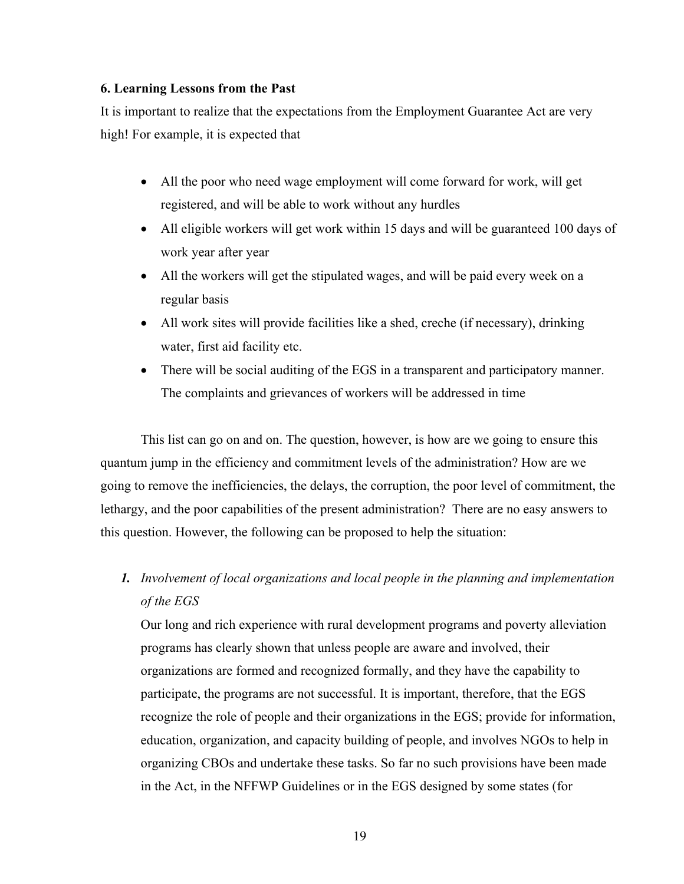# **6. Learning Lessons from the Past**

It is important to realize that the expectations from the Employment Guarantee Act are very high! For example, it is expected that

- All the poor who need wage employment will come forward for work, will get registered, and will be able to work without any hurdles
- All eligible workers will get work within 15 days and will be guaranteed 100 days of work year after year
- All the workers will get the stipulated wages, and will be paid every week on a regular basis
- All work sites will provide facilities like a shed, creche (if necessary), drinking water, first aid facility etc.
- There will be social auditing of the EGS in a transparent and participatory manner. The complaints and grievances of workers will be addressed in time

This list can go on and on. The question, however, is how are we going to ensure this quantum jump in the efficiency and commitment levels of the administration? How are we going to remove the inefficiencies, the delays, the corruption, the poor level of commitment, the lethargy, and the poor capabilities of the present administration? There are no easy answers to this question. However, the following can be proposed to help the situation:

*1. Involvement of local organizations and local people in the planning and implementation of the EGS*

Our long and rich experience with rural development programs and poverty alleviation programs has clearly shown that unless people are aware and involved, their organizations are formed and recognized formally, and they have the capability to participate, the programs are not successful. It is important, therefore, that the EGS recognize the role of people and their organizations in the EGS; provide for information, education, organization, and capacity building of people, and involves NGOs to help in organizing CBOs and undertake these tasks. So far no such provisions have been made in the Act, in the NFFWP Guidelines or in the EGS designed by some states (for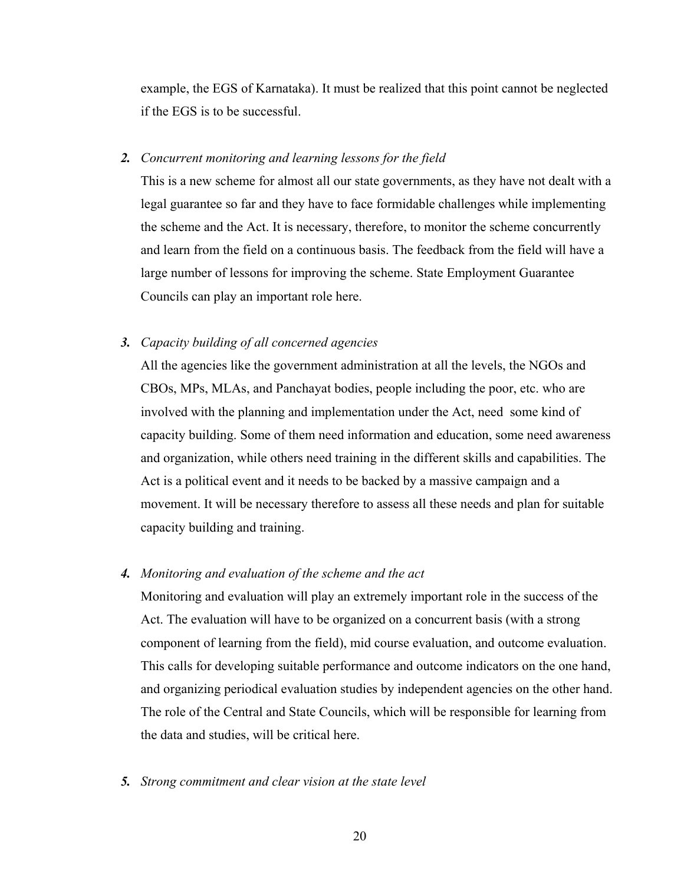example, the EGS of Karnataka). It must be realized that this point cannot be neglected if the EGS is to be successful.

## *2. Concurrent monitoring and learning lessons for the field*

This is a new scheme for almost all our state governments, as they have not dealt with a legal guarantee so far and they have to face formidable challenges while implementing the scheme and the Act. It is necessary, therefore, to monitor the scheme concurrently and learn from the field on a continuous basis. The feedback from the field will have a large number of lessons for improving the scheme. State Employment Guarantee Councils can play an important role here.

### *3. Capacity building of all concerned agencies*

All the agencies like the government administration at all the levels, the NGOs and CBOs, MPs, MLAs, and Panchayat bodies, people including the poor, etc. who are involved with the planning and implementation under the Act, need some kind of capacity building. Some of them need information and education, some need awareness and organization, while others need training in the different skills and capabilities. The Act is a political event and it needs to be backed by a massive campaign and a movement. It will be necessary therefore to assess all these needs and plan for suitable capacity building and training.

## *4. Monitoring and evaluation of the scheme and the act*

Monitoring and evaluation will play an extremely important role in the success of the Act. The evaluation will have to be organized on a concurrent basis (with a strong component of learning from the field), mid course evaluation, and outcome evaluation. This calls for developing suitable performance and outcome indicators on the one hand, and organizing periodical evaluation studies by independent agencies on the other hand. The role of the Central and State Councils, which will be responsible for learning from the data and studies, will be critical here.

## *5. Strong commitment and clear vision at the state level*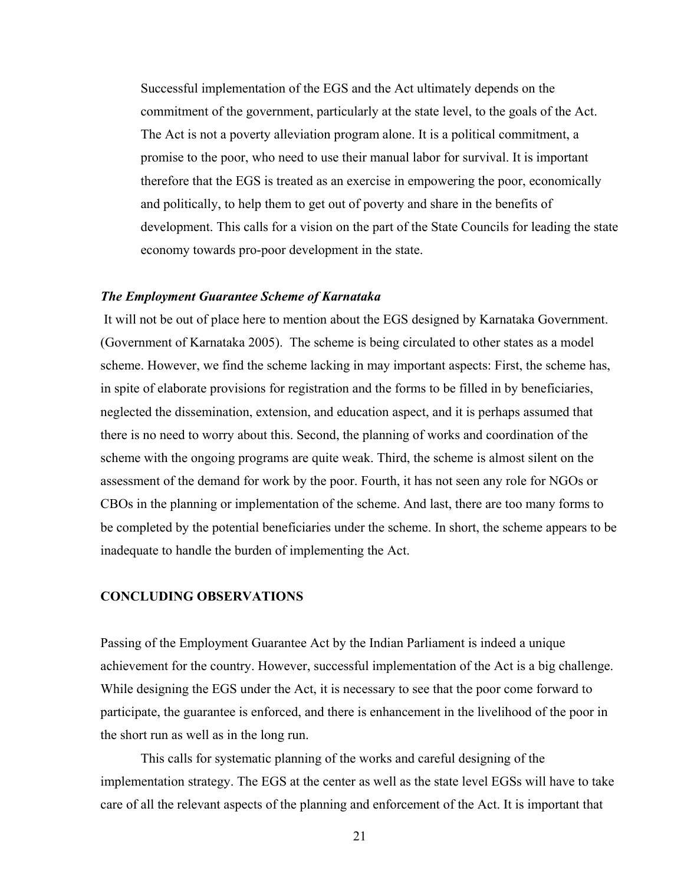Successful implementation of the EGS and the Act ultimately depends on the commitment of the government, particularly at the state level, to the goals of the Act. The Act is not a poverty alleviation program alone. It is a political commitment, a promise to the poor, who need to use their manual labor for survival. It is important therefore that the EGS is treated as an exercise in empowering the poor, economically and politically, to help them to get out of poverty and share in the benefits of development. This calls for a vision on the part of the State Councils for leading the state economy towards pro-poor development in the state.

#### *The Employment Guarantee Scheme of Karnataka*

It will not be out of place here to mention about the EGS designed by Karnataka Government. (Government of Karnataka 2005). The scheme is being circulated to other states as a model scheme. However, we find the scheme lacking in may important aspects: First, the scheme has, in spite of elaborate provisions for registration and the forms to be filled in by beneficiaries, neglected the dissemination, extension, and education aspect, and it is perhaps assumed that there is no need to worry about this. Second, the planning of works and coordination of the scheme with the ongoing programs are quite weak. Third, the scheme is almost silent on the assessment of the demand for work by the poor. Fourth, it has not seen any role for NGOs or CBOs in the planning or implementation of the scheme. And last, there are too many forms to be completed by the potential beneficiaries under the scheme. In short, the scheme appears to be inadequate to handle the burden of implementing the Act.

## **CONCLUDING OBSERVATIONS**

Passing of the Employment Guarantee Act by the Indian Parliament is indeed a unique achievement for the country. However, successful implementation of the Act is a big challenge. While designing the EGS under the Act, it is necessary to see that the poor come forward to participate, the guarantee is enforced, and there is enhancement in the livelihood of the poor in the short run as well as in the long run.

This calls for systematic planning of the works and careful designing of the implementation strategy. The EGS at the center as well as the state level EGSs will have to take care of all the relevant aspects of the planning and enforcement of the Act. It is important that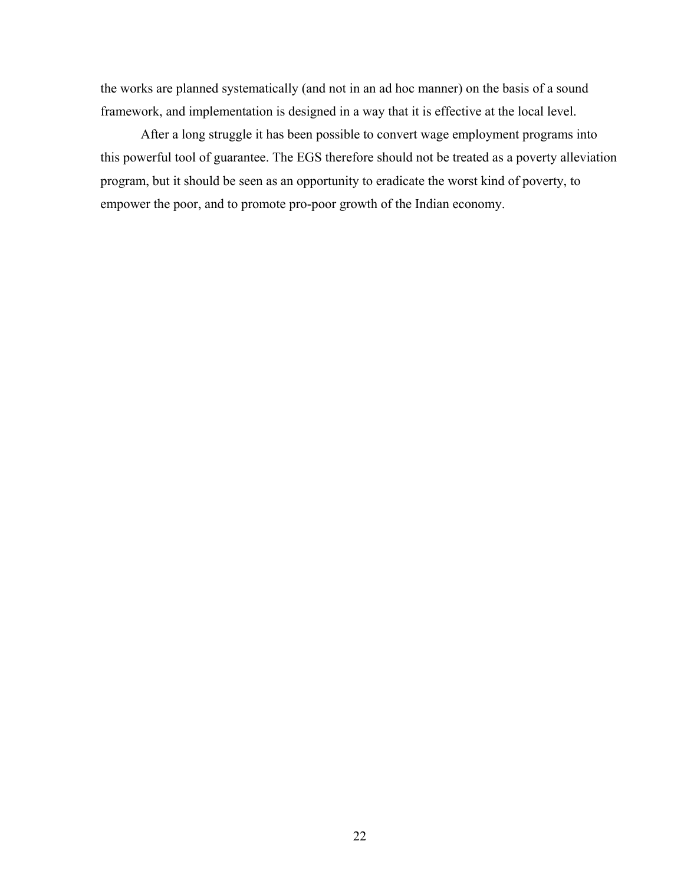the works are planned systematically (and not in an ad hoc manner) on the basis of a sound framework, and implementation is designed in a way that it is effective at the local level.

After a long struggle it has been possible to convert wage employment programs into this powerful tool of guarantee. The EGS therefore should not be treated as a poverty alleviation program, but it should be seen as an opportunity to eradicate the worst kind of poverty, to empower the poor, and to promote pro-poor growth of the Indian economy.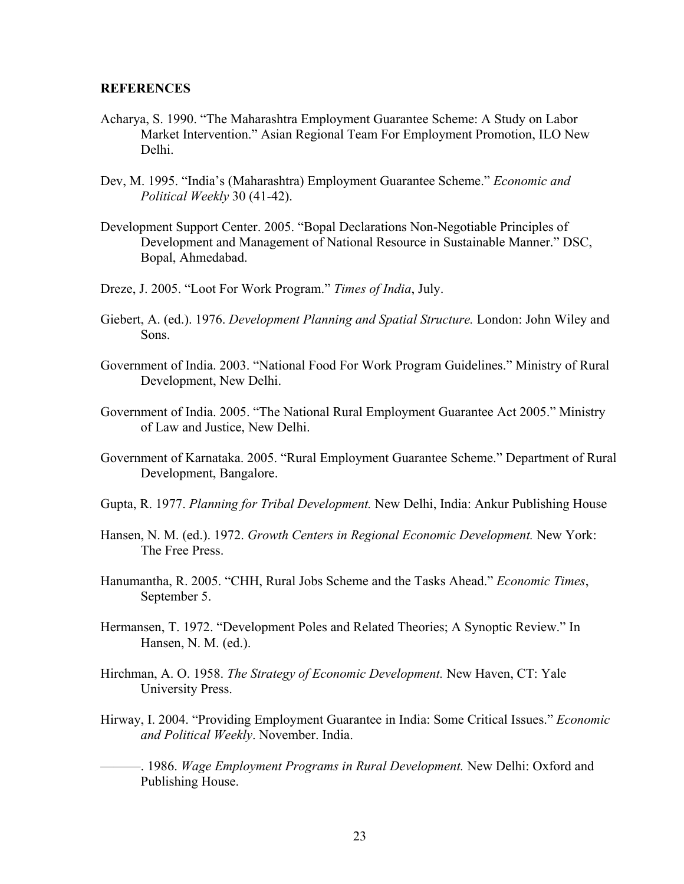#### **REFERENCES**

- Acharya, S. 1990. "The Maharashtra Employment Guarantee Scheme: A Study on Labor Market Intervention." Asian Regional Team For Employment Promotion, ILO New Delhi.
- Dev, M. 1995. "India's (Maharashtra) Employment Guarantee Scheme." *Economic and Political Weekly* 30 (41-42).
- Development Support Center. 2005. "Bopal Declarations Non-Negotiable Principles of Development and Management of National Resource in Sustainable Manner." DSC, Bopal, Ahmedabad.
- Dreze, J. 2005. "Loot For Work Program." *Times of India*, July.
- Giebert, A. (ed.). 1976. *Development Planning and Spatial Structure.* London: John Wiley and Sons.
- Government of India. 2003. "National Food For Work Program Guidelines." Ministry of Rural Development, New Delhi.
- Government of India. 2005. "The National Rural Employment Guarantee Act 2005." Ministry of Law and Justice, New Delhi.
- Government of Karnataka. 2005. "Rural Employment Guarantee Scheme." Department of Rural Development, Bangalore.
- Gupta, R. 1977. *Planning for Tribal Development.* New Delhi, India: Ankur Publishing House
- Hansen, N. M. (ed.). 1972. *Growth Centers in Regional Economic Development.* New York: The Free Press.
- Hanumantha, R. 2005. "CHH, Rural Jobs Scheme and the Tasks Ahead." *Economic Times*, September 5.
- Hermansen, T. 1972. "Development Poles and Related Theories; A Synoptic Review." In Hansen, N. M. (ed.).
- Hirchman, A. O. 1958. *The Strategy of Economic Development.* New Haven, CT: Yale University Press.
- Hirway, I. 2004. "Providing Employment Guarantee in India: Some Critical Issues." *Economic and Political Weekly*. November. India.
- ———. 1986. *Wage Employment Programs in Rural Development.* New Delhi: Oxford and Publishing House.